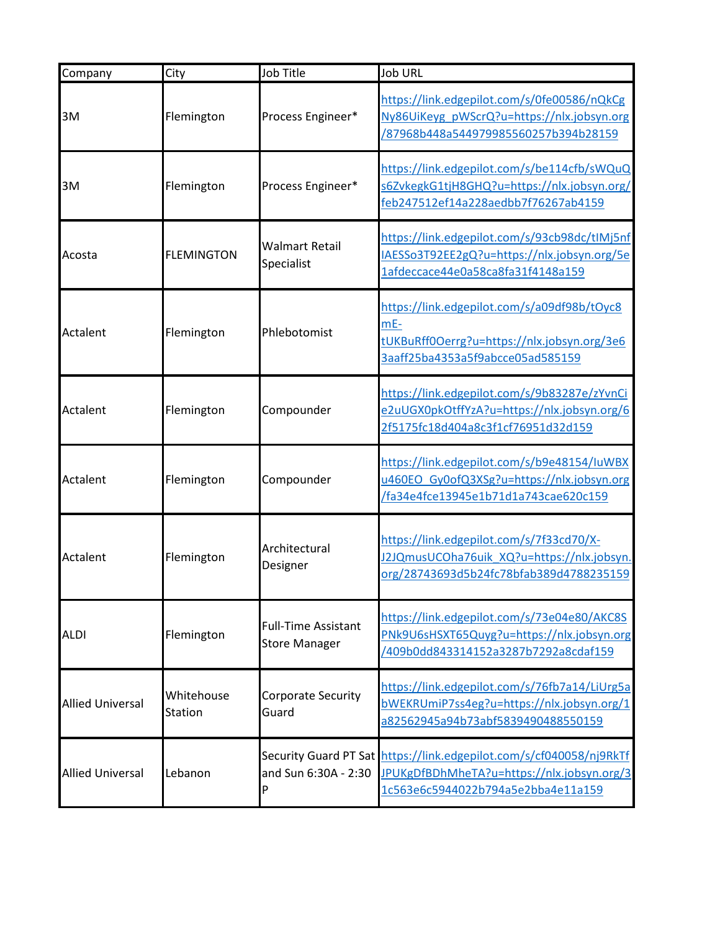| Company                 | City                  | Job Title                                          | <b>Job URL</b>                                                                                                                                                               |
|-------------------------|-----------------------|----------------------------------------------------|------------------------------------------------------------------------------------------------------------------------------------------------------------------------------|
| 3M                      | Flemington            | Process Engineer*                                  | https://link.edgepilot.com/s/0fe00586/nQkCg<br>Ny86UiKeyg_pWScrQ?u=https://nlx.jobsyn.org<br>/87968b448a544979985560257b394b28159                                            |
| 3M                      | Flemington            | Process Engineer*                                  | https://link.edgepilot.com/s/be114cfb/sWQuQ<br>s6ZvkegkG1tjH8GHQ?u=https://nlx.jobsyn.org/<br>feb247512ef14a228aedbb7f76267ab4159                                            |
| Acosta                  | <b>FLEMINGTON</b>     | <b>Walmart Retail</b><br>Specialist                | https://link.edgepilot.com/s/93cb98dc/tIMj5nf<br>IAESSo3T92EE2gQ?u=https://nlx.jobsyn.org/5e<br>1afdeccace44e0a58ca8fa31f4148a159                                            |
| Actalent                | Flemington            | Phlebotomist                                       | https://link.edgepilot.com/s/a09df98b/tOyc8<br>mE-<br>tUKBuRff0Oerrg?u=https://nlx.jobsyn.org/3e6<br>3aaff25ba4353a5f9abcce05ad585159                                        |
| Actalent                | Flemington            | Compounder                                         | https://link.edgepilot.com/s/9b83287e/zYvnCi<br>e2uUGX0pkOtffYzA?u=https://nlx.jobsyn.org/6<br>2f5175fc18d404a8c3f1cf76951d32d159                                            |
| Actalent                | Flemington            | Compounder                                         | https://link.edgepilot.com/s/b9e48154/luWBX<br>u460EO_Gy0ofQ3XSg?u=https://nlx.jobsyn.org<br>fa34e4fce13945e1b71d1a743cae620c159                                             |
| Actalent                | Flemington            | Architectural<br>Designer                          | https://link.edgepilot.com/s/7f33cd70/X-<br>J2JQmusUCOha76uik XQ?u=https://nlx.jobsyn.<br>org/28743693d5b24fc78bfab389d4788235159                                            |
| <b>ALDI</b>             | Flemington            | <b>Full-Time Assistant</b><br><b>Store Manager</b> | https://link.edgepilot.com/s/73e04e80/AKC8S<br>PNk9U6sHSXT65Quyg?u=https://nlx.jobsyn.org<br>/409b0dd843314152a3287b7292a8cdaf159                                            |
| <b>Allied Universal</b> | Whitehouse<br>Station | <b>Corporate Security</b><br>Guard                 | https://link.edgepilot.com/s/76fb7a14/LiUrg5a<br>bWEKRUmiP7ss4eg?u=https://nlx.jobsyn.org/1<br>a82562945a94b73abf5839490488550159                                            |
| <b>Allied Universal</b> | Lebanon               | P                                                  | Security Guard PT Sat https://link.edgepilot.com/s/cf040058/nj9RkTf<br>and Sun 6:30A - 2:30 JPUKgDfBDhMheTA?u=https://nlx.jobsyn.org/3<br>1c563e6c5944022b794a5e2bba4e11a159 |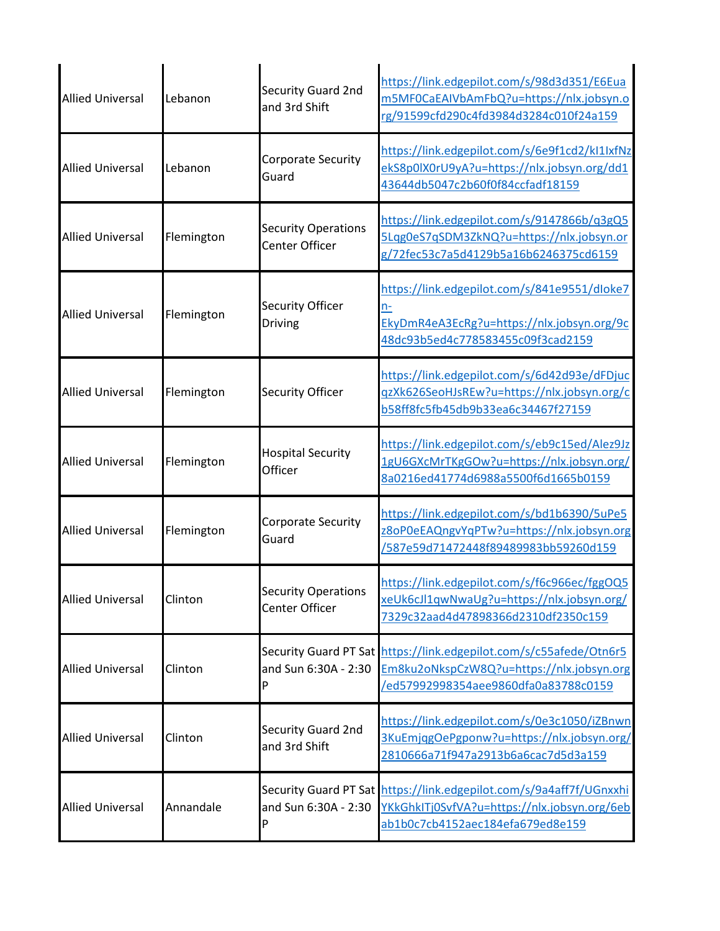| <b>Allied Universal</b> | Lebanon    | Security Guard 2nd<br>and 3rd Shift          | https://link.edgepilot.com/s/98d3d351/E6Eua<br>m5MF0CaEAIVbAmFbQ?u=https://nlx.jobsyn.o<br>rg/91599cfd290c4fd3984d3284c010f24a159                       |
|-------------------------|------------|----------------------------------------------|---------------------------------------------------------------------------------------------------------------------------------------------------------|
| <b>Allied Universal</b> | Lebanon    | Corporate Security<br>Guard                  | https://link.edgepilot.com/s/6e9f1cd2/kl1lxfNz<br>ekS8p0lX0rU9yA?u=https://nlx.jobsyn.org/dd1<br>43644db5047c2b60f0f84ccfadf18159                       |
| <b>Allied Universal</b> | Flemington | <b>Security Operations</b><br>Center Officer | https://link.edgepilot.com/s/9147866b/q3gQ5<br>5Lqg0eS7qSDM3ZkNQ?u=https://nlx.jobsyn.or<br>g/72fec53c7a5d4129b5a16b6246375cd6159                       |
| <b>Allied Universal</b> | Flemington | <b>Security Officer</b><br><b>Driving</b>    | https://link.edgepilot.com/s/841e9551/dloke7<br>n-<br>EkyDmR4eA3EcRg?u=https://nlx.jobsyn.org/9c<br>48dc93b5ed4c778583455c09f3cad2159                   |
| <b>Allied Universal</b> | Flemington | <b>Security Officer</b>                      | https://link.edgepilot.com/s/6d42d93e/dFDjuc<br>qzXk626SeoHJsREw?u=https://nlx.jobsyn.org/c<br>b58ff8fc5fb45db9b33ea6c34467f27159                       |
| <b>Allied Universal</b> | Flemington | <b>Hospital Security</b><br>Officer          | https://link.edgepilot.com/s/eb9c15ed/Alez9Jz<br>1gU6GXcMrTKgGOw?u=https://nlx.jobsyn.org/<br>8a0216ed41774d6988a5500f6d1665b0159                       |
| <b>Allied Universal</b> | Flemington | Corporate Security<br>Guard                  | https://link.edgepilot.com/s/bd1b6390/5uPe5<br>z8oP0eEAQngvYqPTw?u=https://nlx.jobsyn.org<br>/587e59d71472448f89489983bb59260d159                       |
| <b>Allied Universal</b> | Clinton    | <b>Security Operations</b><br>Center Officer | https://link.edgepilot.com/s/f6c966ec/fggOQ5<br>xeUk6cJl1qwNwaUg?u=https://nlx.jobsyn.org/<br>7329c32aad4d47898366d2310df2350c159                       |
| <b>Allied Universal</b> | Clinton    | and Sun 6:30A - 2:30<br>P                    | Security Guard PT Sat https://link.edgepilot.com/s/c55afede/Otn6r5<br>Em8ku2oNkspCzW8Q?u=https://nlx.jobsyn.org<br>/ed57992998354aee9860dfa0a83788c0159 |
| <b>Allied Universal</b> | Clinton    | Security Guard 2nd<br>and 3rd Shift          | https://link.edgepilot.com/s/0e3c1050/iZBnwn<br>3KuEmjqgOePgponw?u=https://nlx.jobsyn.org/<br>2810666a71f947a2913b6a6cac7d5d3a159                       |
| <b>Allied Universal</b> | Annandale  | and Sun 6:30A - 2:30<br>P                    | Security Guard PT Sat https://link.edgepilot.com/s/9a4aff7f/UGnxxhi<br>YKkGhkITj0SvfVA?u=https://nlx.jobsyn.org/6eb<br>ab1b0c7cb4152aec184efa679ed8e159 |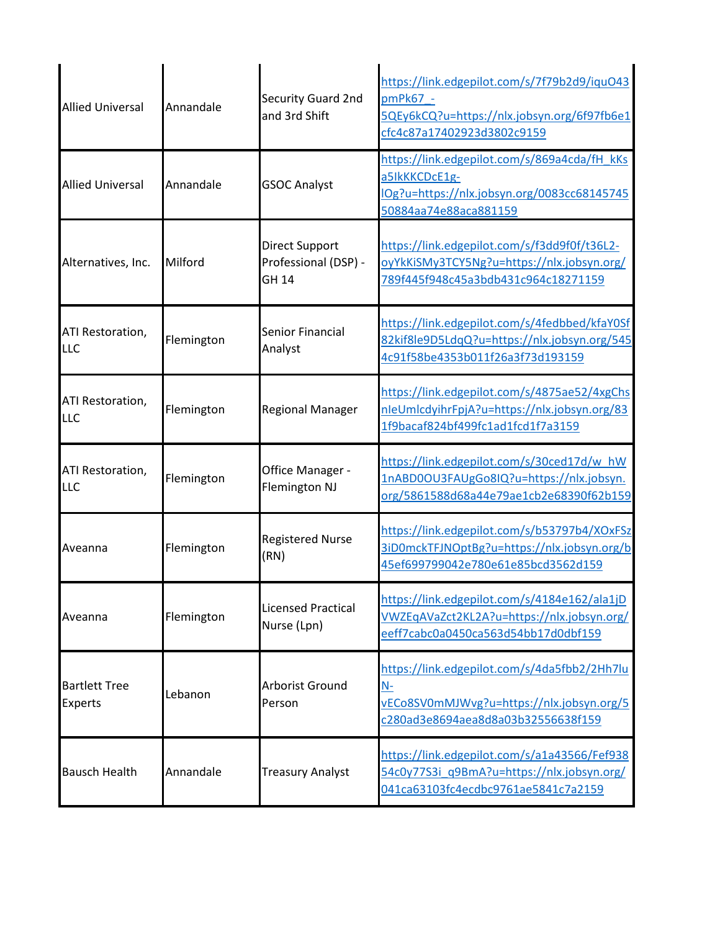| <b>Allied Universal</b>                | Annandale  | Security Guard 2nd<br>and 3rd Shift                    | https://link.edgepilot.com/s/7f79b2d9/iquO43<br>pmPk67 -<br>5QEy6kCQ?u=https://nlx.jobsyn.org/6f97fb6e1<br>cfc4c87a17402923d3802c9159   |
|----------------------------------------|------------|--------------------------------------------------------|-----------------------------------------------------------------------------------------------------------------------------------------|
| <b>Allied Universal</b>                | Annandale  | <b>GSOC Analyst</b>                                    | https://link.edgepilot.com/s/869a4cda/fH_kKs<br>a5IkKKCDcE1g-<br>lOg?u=https://nlx.jobsyn.org/0083cc68145745<br>50884aa74e88aca881159   |
| Alternatives, Inc.                     | Milford    | <b>Direct Support</b><br>Professional (DSP) -<br>GH 14 | https://link.edgepilot.com/s/f3dd9f0f/t36L2-<br>oyYkKiSMy3TCY5Ng?u=https://nlx.jobsyn.org/<br>789f445f948c45a3bdb431c964c18271159       |
| ATI Restoration,<br><b>LLC</b>         | Flemington | Senior Financial<br>Analyst                            | https://link.edgepilot.com/s/4fedbbed/kfaY0Sf<br>82kif8le9D5LdqQ?u=https://nlx.jobsyn.org/545<br>4c91f58be4353b011f26a3f73d193159       |
| ATI Restoration,<br><b>LLC</b>         | Flemington | <b>Regional Manager</b>                                | https://link.edgepilot.com/s/4875ae52/4xgChs<br>nleUmlcdyihrFpjA?u=https://nlx.jobsyn.org/83<br>1f9bacaf824bf499fc1ad1fcd1f7a3159       |
| ATI Restoration,<br><b>LLC</b>         | Flemington | Office Manager -<br>Flemington NJ                      | https://link.edgepilot.com/s/30ced17d/w hW<br>1nABD0OU3FAUgGo8IQ?u=https://nlx.jobsyn.<br>org/5861588d68a44e79ae1cb2e68390f62b159       |
| Aveanna                                | Flemington | <b>Registered Nurse</b><br>(RN)                        | https://link.edgepilot.com/s/b53797b4/XOxFSz<br>3iD0mckTFJNOptBg?u=https://nlx.jobsyn.org/b<br>45ef699799042e780e61e85bcd3562d159       |
| Aveanna                                | Flemington | <b>Licensed Practical</b><br>Nurse (Lpn)               | https://link.edgepilot.com/s/4184e162/ala1jD<br>VWZEqAVaZct2KL2A?u=https://nlx.jobsyn.org/<br>eeff7cabc0a0450ca563d54bb17d0dbf159       |
| <b>Bartlett Tree</b><br><b>Experts</b> | Lebanon    | <b>Arborist Ground</b><br>Person                       | https://link.edgepilot.com/s/4da5fbb2/2Hh7lu<br>$N-$<br>vECo8SV0mMJWvg?u=https://nlx.jobsyn.org/5<br>c280ad3e8694aea8d8a03b32556638f159 |
| <b>Bausch Health</b>                   | Annandale  | <b>Treasury Analyst</b>                                | https://link.edgepilot.com/s/a1a43566/Fef938<br>54c0y77S3i q9BmA?u=https://nlx.jobsyn.org/<br>041ca63103fc4ecdbc9761ae5841c7a2159       |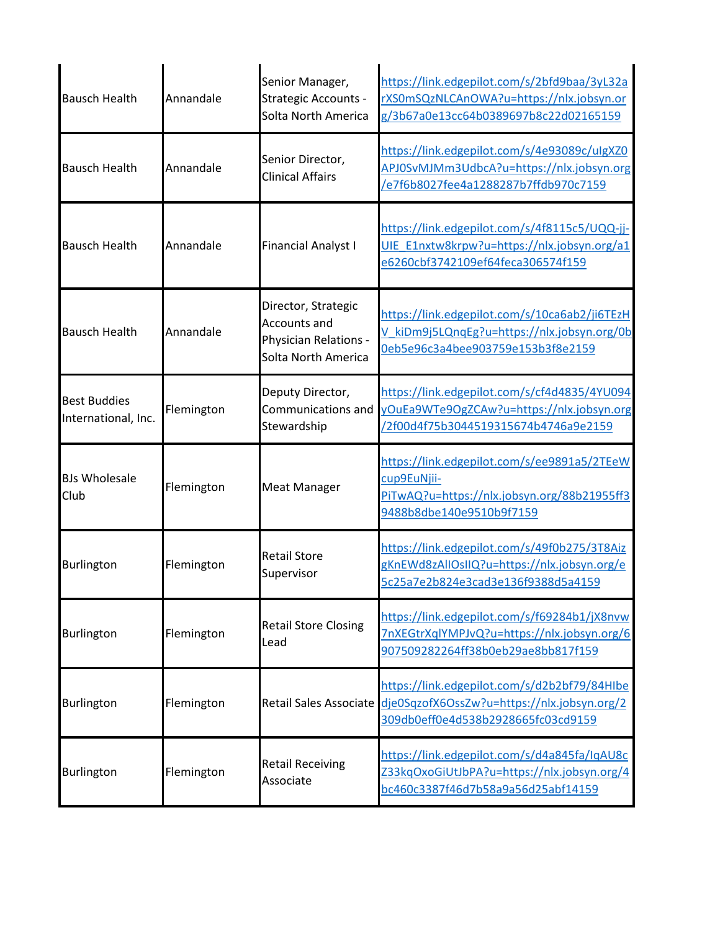| <b>Bausch Health</b>                       | Annandale  | Senior Manager,<br><b>Strategic Accounts -</b><br>Solta North America               | https://link.edgepilot.com/s/2bfd9baa/3yL32a<br>rXS0mSQzNLCAnOWA?u=https://nlx.jobsyn.or<br>g/3b67a0e13cc64b0389697b8c22d02165159     |
|--------------------------------------------|------------|-------------------------------------------------------------------------------------|---------------------------------------------------------------------------------------------------------------------------------------|
| <b>Bausch Health</b>                       | Annandale  | Senior Director,<br><b>Clinical Affairs</b>                                         | https://link.edgepilot.com/s/4e93089c/ulgXZ0<br>APJ0SvMJMm3UdbcA?u=https://nlx.jobsyn.org<br>e7f6b8027fee4a1288287b7ffdb970c7159      |
| <b>Bausch Health</b>                       | Annandale  | <b>Financial Analyst I</b>                                                          | https://link.edgepilot.com/s/4f8115c5/UQQ-jj-<br>UIE E1nxtw8krpw?u=https://nlx.jobsyn.org/a1<br>e6260cbf3742109ef64feca306574f159     |
| <b>Bausch Health</b>                       | Annandale  | Director, Strategic<br>Accounts and<br>Physician Relations -<br>Solta North America | https://link.edgepilot.com/s/10ca6ab2/ji6TEzH<br>V kiDm9j5LQnqEg?u=https://nlx.jobsyn.org/0b<br>0eb5e96c3a4bee903759e153b3f8e2159     |
| <b>Best Buddies</b><br>International, Inc. | Flemington | Deputy Director,<br>Communications and<br>Stewardship                               | https://link.edgepilot.com/s/cf4d4835/4YU094<br>yOuEa9WTe9OgZCAw?u=https://nlx.jobsyn.org<br>2f00d4f75b3044519315674b4746a9e2159      |
| <b>BJs Wholesale</b><br>Club               | Flemington | <b>Meat Manager</b>                                                                 | https://link.edgepilot.com/s/ee9891a5/2TEeW<br>cup9EuNjii-<br>PITwAQ?u=https://nlx.jobsyn.org/88b21955ff3<br>9488b8dbe140e9510b9f7159 |
| <b>Burlington</b>                          | Flemington | <b>Retail Store</b><br>Supervisor                                                   | https://link.edgepilot.com/s/49f0b275/3T8Aiz<br>gKnEWd8zAlIOsIIQ?u=https://nlx.jobsyn.org/e<br>5c25a7e2b824e3cad3e136f9388d5a4159     |
| <b>Burlington</b>                          | Flemington | <b>Retail Store Closing</b><br>Lead                                                 | https://link.edgepilot.com/s/f69284b1/jX8nvw<br>7nXEGtrXqlYMPJvQ?u=https://nlx.jobsyn.org/6<br>907509282264ff38b0eb29ae8bb817f159     |
| <b>Burlington</b>                          | Flemington | <b>Retail Sales Associate</b>                                                       | https://link.edgepilot.com/s/d2b2bf79/84HIbe<br>dje0SqzofX6OssZw?u=https://nlx.jobsyn.org/2<br>309db0eff0e4d538b2928665fc03cd9159     |
| Burlington                                 | Flemington | <b>Retail Receiving</b><br>Associate                                                | https://link.edgepilot.com/s/d4a845fa/lqAU8c<br>Z33kqOxoGiUtJbPA?u=https://nlx.jobsyn.org/4<br>bc460c3387f46d7b58a9a56d25abf14159     |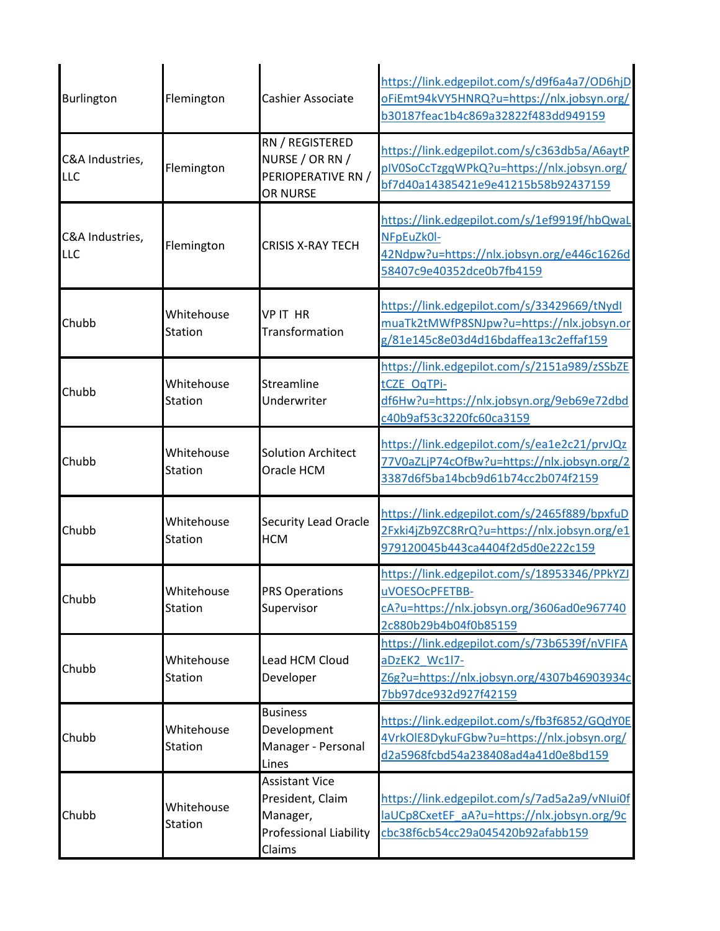| Burlington             | Flemington                   | <b>Cashier Associate</b>                                                                         | https://link.edgepilot.com/s/d9f6a4a7/OD6hjD<br>oFiEmt94kVY5HNRQ?u=https://nlx.jobsyn.org/<br>b30187feac1b4c869a32822f483dd949159     |
|------------------------|------------------------------|--------------------------------------------------------------------------------------------------|---------------------------------------------------------------------------------------------------------------------------------------|
| C&A Industries,<br>LLC | Flemington                   | RN / REGISTERED<br>NURSE / OR RN /<br>PERIOPERATIVE RN /<br><b>OR NURSE</b>                      | https://link.edgepilot.com/s/c363db5a/A6aytP<br>pIV0SoCcTzgqWPkQ?u=https://nlx.jobsyn.org/<br>bf7d40a14385421e9e41215b58b92437159     |
| C&A Industries,<br>LLC | Flemington                   | <b>CRISIS X-RAY TECH</b>                                                                         | https://link.edgepilot.com/s/1ef9919f/hbQwaL<br>NFpEuZk0l-<br>42Ndpw?u=https://nlx.jobsyn.org/e446c1626d<br>58407c9e40352dce0b7fb4159 |
| Chubb                  | Whitehouse<br><b>Station</b> | <b>VPIT HR</b><br>Transformation                                                                 | https://link.edgepilot.com/s/33429669/tNydl<br>muaTk2tMWfP8SNJpw?u=https://nlx.jobsyn.or<br>g/81e145c8e03d4d16bdaffea13c2effaf159     |
| Chubb                  | Whitehouse<br>Station        | Streamline<br>Underwriter                                                                        | https://link.edgepilot.com/s/2151a989/zSSbZE<br>tCZE OqTPi-<br>df6Hw?u=https://nlx.jobsyn.org/9eb69e72dbd<br>c40b9af53c3220fc60ca3159 |
| Chubb                  | Whitehouse<br>Station        | <b>Solution Architect</b><br>Oracle HCM                                                          | https://link.edgepilot.com/s/ea1e2c21/prvJQz<br>77V0aZLjP74cOfBw?u=https://nlx.jobsyn.org/2<br>3387d6f5ba14bcb9d61b74cc2b074f2159     |
| Chubb                  | Whitehouse<br>Station        | <b>Security Lead Oracle</b><br><b>HCM</b>                                                        | https://link.edgepilot.com/s/2465f889/bpxfuD<br>2Fxki4jZb9ZC8RrQ?u=https://nlx.jobsyn.org/e1<br>979120045b443ca4404f2d5d0e222c159     |
| Chubb                  | Whitehouse<br>Station        | <b>PRS Operations</b><br>Supervisor                                                              | https://link.edgepilot.com/s/18953346/PPkYZJ<br>uVOESOcPFETBB-<br>cA?u=https://nlx.jobsyn.org/3606ad0e967740<br>2c880b29b4b04f0b85159 |
| Chubb                  | Whitehouse<br>Station        | Lead HCM Cloud<br>Developer                                                                      | https://link.edgepilot.com/s/73b6539f/nVFIFA<br>aDzEK2 Wc1l7-<br>Z6g?u=https://nlx.jobsyn.org/4307b46903934c<br>7bb97dce932d927f42159 |
| Chubb                  | Whitehouse<br><b>Station</b> | <b>Business</b><br>Development<br>Manager - Personal<br>Lines                                    | https://link.edgepilot.com/s/fb3f6852/GQdY0E<br>4VrkOlE8DykuFGbw?u=https://nlx.jobsyn.org/<br>d2a5968fcbd54a238408ad4a41d0e8bd159     |
| Chubb                  | Whitehouse<br>Station        | <b>Assistant Vice</b><br>President, Claim<br>Manager,<br><b>Professional Liability</b><br>Claims | https://link.edgepilot.com/s/7ad5a2a9/vNIui0f<br>laUCp8CxetEF aA?u=https://nlx.jobsyn.org/9c<br>cbc38f6cb54cc29a045420b92afabb159     |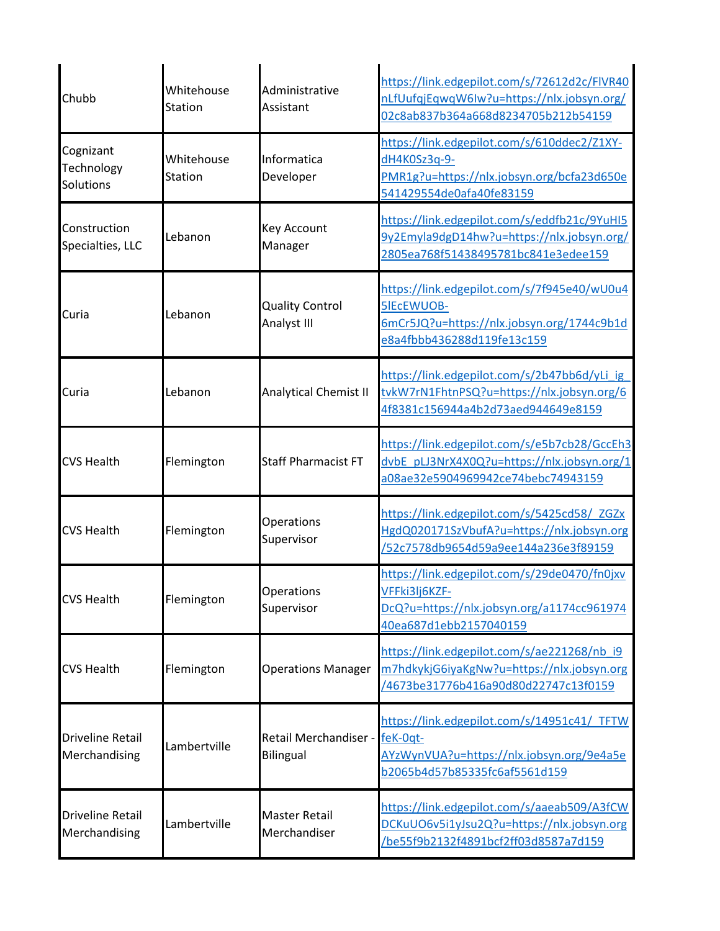| Chubb                                    | Whitehouse<br>Station | Administrative<br>Assistant               | https://link.edgepilot.com/s/72612d2c/FlVR40<br>nLfUufqjEqwqW6Iw?u=https://nlx.jobsyn.org/<br>02c8ab837b364a668d8234705b212b54159            |
|------------------------------------------|-----------------------|-------------------------------------------|----------------------------------------------------------------------------------------------------------------------------------------------|
| Cognizant<br>Technology<br>Solutions     | Whitehouse<br>Station | Informatica<br>Developer                  | https://link.edgepilot.com/s/610ddec2/Z1XY-<br>dH4K0Sz3q-9-<br>PMR1g?u=https://nlx.jobsyn.org/bcfa23d650e<br>541429554de0afa40fe83159        |
| Construction<br>Specialties, LLC         | Lebanon               | Key Account<br>Manager                    | https://link.edgepilot.com/s/eddfb21c/9YuHI5<br>9y2Emyla9dgD14hw?u=https://nlx.jobsyn.org/<br>2805ea768f51438495781bc841e3edee159            |
| Curia                                    | Lebanon               | <b>Quality Control</b><br>Analyst III     | https://link.edgepilot.com/s/7f945e40/wU0u4<br><b>SIEcEWUOB-</b><br>6mCr5JQ?u=https://nlx.jobsyn.org/1744c9b1d<br>e8a4fbbb436288d119fe13c159 |
| Curia                                    | Lebanon               | <b>Analytical Chemist II</b>              | https://link.edgepilot.com/s/2b47bb6d/yLi ig<br>tvkW7rN1FhtnPSQ?u=https://nlx.jobsyn.org/6<br>4f8381c156944a4b2d73aed944649e8159             |
| <b>CVS Health</b>                        | Flemington            | <b>Staff Pharmacist FT</b>                | https://link.edgepilot.com/s/e5b7cb28/GccEh3<br>dvbE pLJ3NrX4X0Q?u=https://nlx.jobsyn.org/1<br>a08ae32e5904969942ce74bebc74943159            |
| <b>CVS Health</b>                        | Flemington            | Operations<br>Supervisor                  | https://link.edgepilot.com/s/5425cd58/ ZGZx<br>HgdQ020171SzVbufA?u=https://nlx.jobsyn.org<br>/52c7578db9654d59a9ee144a236e3f89159            |
| <b>CVS Health</b>                        | Flemington            | Operations<br>Supervisor                  | https://link.edgepilot.com/s/29de0470/fn0jxv<br>VFFki3lj6KZF-<br>DcQ?u=https://nlx.jobsyn.org/a1174cc961974<br>40ea687d1ebb2157040159        |
| <b>CVS Health</b>                        | Flemington            | <b>Operations Manager</b>                 | https://link.edgepilot.com/s/ae221268/nb i9<br>m7hdkykjG6iyaKgNw?u=https://nlx.jobsyn.org<br>/4673be31776b416a90d80d22747c13f0159            |
| <b>Driveline Retail</b><br>Merchandising | Lambertville          | Retail Merchandiser -<br><b>Bilingual</b> | https://link.edgepilot.com/s/14951c41/ TFTW<br>feK-Oqt-<br>AYzWynVUA?u=https://nlx.jobsyn.org/9e4a5e<br>b2065b4d57b85335fc6af5561d159        |
| <b>Driveline Retail</b><br>Merchandising | Lambertville          | <b>Master Retail</b><br>Merchandiser      | https://link.edgepilot.com/s/aaeab509/A3fCW<br>DCKuUO6v5i1yJsu2Q?u=https://nlx.jobsyn.org<br>/be55f9b2132f4891bcf2ff03d8587a7d159            |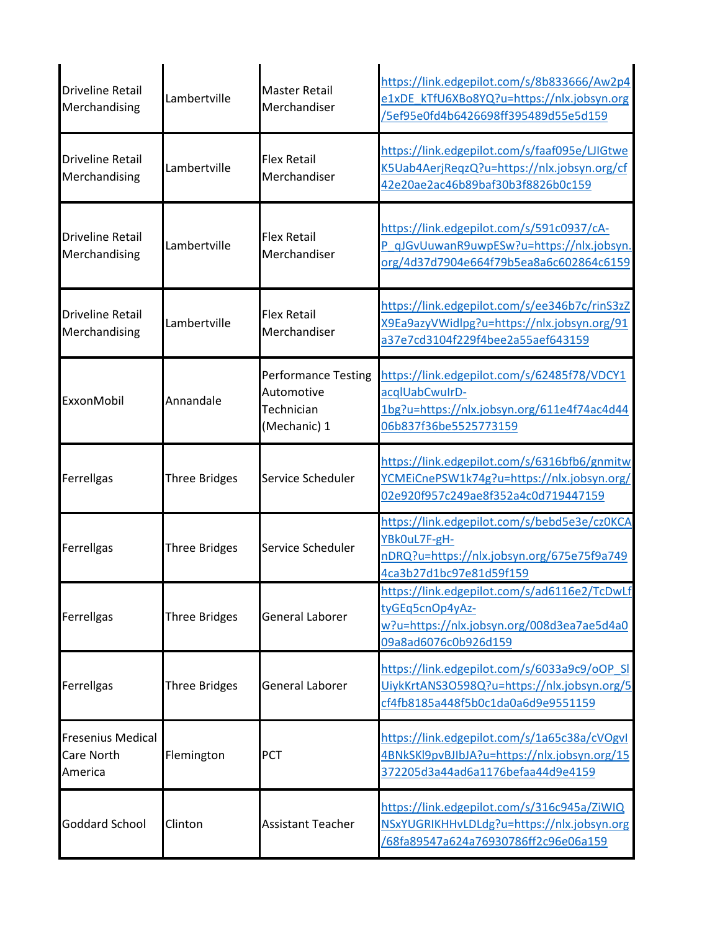| <b>Driveline Retail</b><br>Merchandising          | Lambertville         | <b>Master Retail</b><br>Merchandiser                                   | https://link.edgepilot.com/s/8b833666/Aw2p4<br>e1xDE kTfU6XBo8YQ?u=https://nlx.jobsyn.org<br>/5ef95e0fd4b6426698ff395489d55e5d159     |
|---------------------------------------------------|----------------------|------------------------------------------------------------------------|---------------------------------------------------------------------------------------------------------------------------------------|
| <b>Driveline Retail</b><br>Merchandising          | Lambertville         | <b>Flex Retail</b><br>Merchandiser                                     | https://link.edgepilot.com/s/faaf095e/LJIGtwe<br>K5Uab4AerjReqzQ?u=https://nlx.jobsyn.org/cf<br>42e20ae2ac46b89baf30b3f8826b0c159     |
| <b>Driveline Retail</b><br>Merchandising          | Lambertville         | <b>Flex Retail</b><br>Merchandiser                                     | https://link.edgepilot.com/s/591c0937/cA-<br>P qJGvUuwanR9uwpESw?u=https://nlx.jobsyn.<br>org/4d37d7904e664f79b5ea8a6c602864c6159     |
| <b>Driveline Retail</b><br>Merchandising          | Lambertville         | <b>Flex Retail</b><br>Merchandiser                                     | https://link.edgepilot.com/s/ee346b7c/rinS3zZ<br>X9Ea9azyVWidlpg?u=https://nlx.jobsyn.org/91<br>a37e7cd3104f229f4bee2a55aef643159     |
| ExxonMobil                                        | Annandale            | <b>Performance Testing</b><br>Automotive<br>Technician<br>(Mechanic) 1 | https://link.edgepilot.com/s/62485f78/VDCY1<br>acqlUabCwulrD-<br>1bg?u=https://nlx.jobsyn.org/611e4f74ac4d44<br>06b837f36be5525773159 |
| Ferrellgas                                        | <b>Three Bridges</b> | Service Scheduler                                                      | https://link.edgepilot.com/s/6316bfb6/gnmitw<br>YCMEiCnePSW1k74g?u=https://nlx.jobsyn.org/<br>02e920f957c249ae8f352a4c0d719447159     |
| Ferrellgas                                        | <b>Three Bridges</b> | Service Scheduler                                                      | https://link.edgepilot.com/s/bebd5e3e/cz0KCA<br>YBk0uL7F-gH-<br>nDRQ?u=https://nlx.jobsyn.org/675e75f9a749<br>4ca3b27d1bc97e81d59f159 |
| Ferrellgas                                        | <b>Three Bridges</b> | <b>General Laborer</b>                                                 | https://link.edgepilot.com/s/ad6116e2/TcDwLf<br>tyGEq5cnOp4yAz-<br>w?u=https://nlx.jobsyn.org/008d3ea7ae5d4a0<br>09a8ad6076c0b926d159 |
| Ferrellgas                                        | <b>Three Bridges</b> | <b>General Laborer</b>                                                 | https://link.edgepilot.com/s/6033a9c9/oOP_SI<br>UiykKrtANS3O598Q?u=https://nlx.jobsyn.org/5<br>cf4fb8185a448f5b0c1da0a6d9e9551159     |
| <b>Fresenius Medical</b><br>Care North<br>America | Flemington           | <b>PCT</b>                                                             | https://link.edgepilot.com/s/1a65c38a/cVOgvI<br>4BNkSKl9pvBJIbJA?u=https://nlx.jobsyn.org/15<br>372205d3a44ad6a1176befaa44d9e4159     |
| <b>Goddard School</b>                             | Clinton              | <b>Assistant Teacher</b>                                               | https://link.edgepilot.com/s/316c945a/ZiWIQ<br>NSxYUGRIKHHvLDLdg?u=https://nlx.jobsyn.org<br>68fa89547a624a76930786ff2c96e06a159      |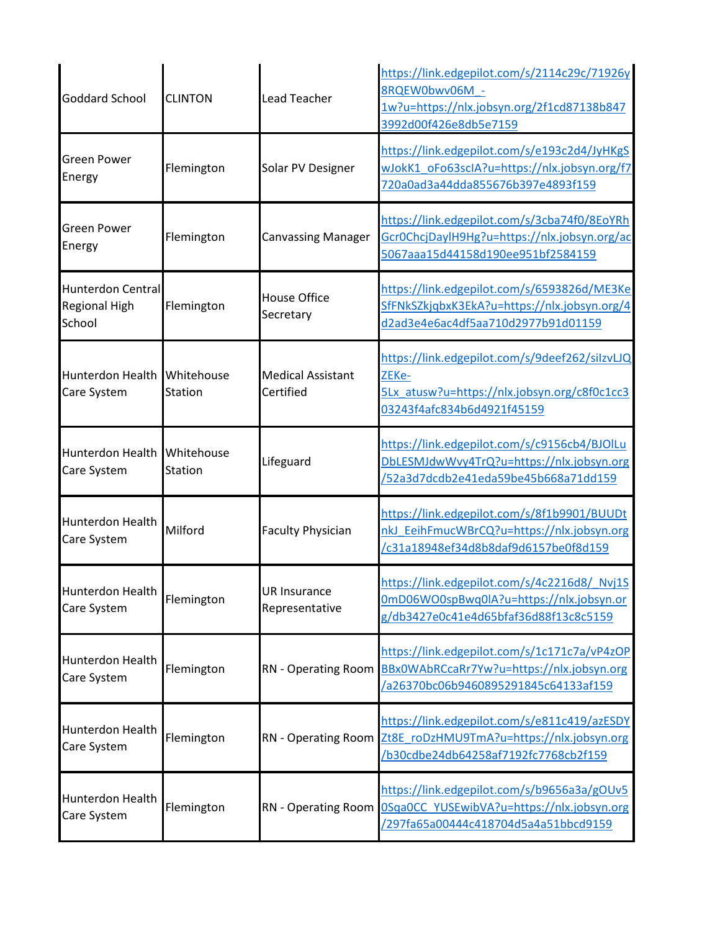| <b>Goddard School</b>                                      | <b>CLINTON</b>               | Lead Teacher                          | https://link.edgepilot.com/s/2114c29c/71926y<br>8RQEW0bwv06M -<br>1w?u=https://nlx.jobsyn.org/2f1cd87138b847<br>3992d00f426e8db5e7159 |
|------------------------------------------------------------|------------------------------|---------------------------------------|---------------------------------------------------------------------------------------------------------------------------------------|
| <b>Green Power</b><br>Energy                               | Flemington                   | Solar PV Designer                     | https://link.edgepilot.com/s/e193c2d4/JyHKgS<br>wJokK1_oFo63scIA?u=https://nlx.jobsyn.org/f7<br>720a0ad3a44dda855676b397e4893f159     |
| <b>Green Power</b><br>Energy                               | Flemington                   | <b>Canvassing Manager</b>             | https://link.edgepilot.com/s/3cba74f0/8EoYRh<br>Gcr0ChcjDaylH9Hg?u=https://nlx.jobsyn.org/ac<br>5067aaa15d44158d190ee951bf2584159     |
| <b>Hunterdon Central</b><br><b>Regional High</b><br>School | Flemington                   | <b>House Office</b><br>Secretary      | https://link.edgepilot.com/s/6593826d/ME3Ke<br>SfFNkSZkjqbxK3EkA?u=https://nlx.jobsyn.org/4<br>d2ad3e4e6ac4df5aa710d2977b91d01159     |
| Hunterdon Health<br>Care System                            | Whitehouse<br>Station        | <b>Medical Assistant</b><br>Certified | https://link.edgepilot.com/s/9deef262/silzvLJQ<br>ZEKe-<br>5Lx atusw?u=https://nlx.jobsyn.org/c8f0c1cc3<br>03243f4afc834b6d4921f45159 |
| Hunterdon Health<br>Care System                            | Whitehouse<br><b>Station</b> | Lifeguard                             | https://link.edgepilot.com/s/c9156cb4/BJOlLu<br>DbLESMJdwWvy4TrQ?u=https://nlx.jobsyn.org<br>/52a3d7dcdb2e41eda59be45b668a71dd159     |
| Hunterdon Health<br>Care System                            | Milford                      | <b>Faculty Physician</b>              | https://link.edgepilot.com/s/8f1b9901/BUUDt<br>nkJ EeihFmucWBrCQ?u=https://nlx.jobsyn.org<br>/c31a18948ef34d8b8daf9d6157be0f8d159     |
| Hunterdon Health<br>Care System                            | Flemington                   | <b>UR Insurance</b><br>Representative | https://link.edgepilot.com/s/4c2216d8/ Nvj1S<br>0mD06WO0spBwq0lA?u=https://nlx.jobsyn.or<br>g/db3427e0c41e4d65bfaf36d88f13c8c5159     |
| Hunterdon Health<br>Care System                            | Flemington                   | RN - Operating Room                   | https://link.edgepilot.com/s/1c171c7a/vP4zOP<br>BBx0WAbRCcaRr7Yw?u=https://nlx.jobsyn.org<br>/a26370bc06b9460895291845c64133af159     |
| Hunterdon Health<br>Care System                            | Flemington                   | RN - Operating Room                   | https://link.edgepilot.com/s/e811c419/azESDY<br>Zt8E roDzHMU9TmA?u=https://nlx.jobsyn.org<br>/b30cdbe24db64258af7192fc7768cb2f159     |
| Hunterdon Health<br>Care System                            | Flemington                   | RN - Operating Room                   | https://link.edgepilot.com/s/b9656a3a/gOUv5<br>0Sqa0CC YUSEwibVA?u=https://nlx.jobsyn.org<br>/297fa65a00444c418704d5a4a51bbcd9159     |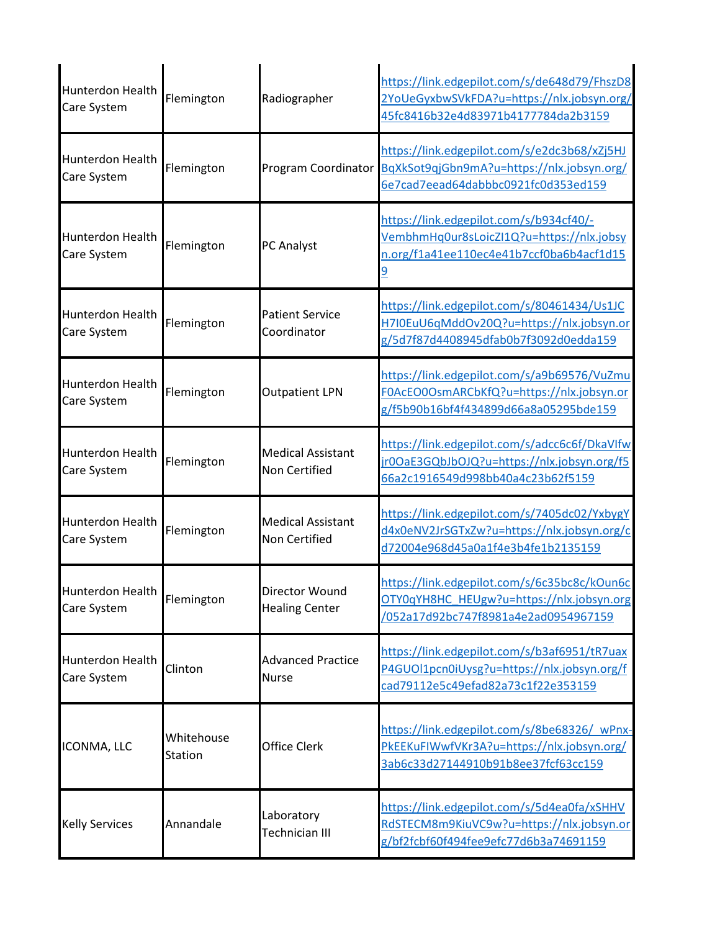| <b>Hunterdon Health</b><br>Care System | Flemington            | Radiographer                                     | https://link.edgepilot.com/s/de648d79/FhszD8<br>2YoUeGyxbwSVkFDA?u=https://nlx.jobsyn.org/<br>45fc8416b32e4d83971b4177784da2b3159 |
|----------------------------------------|-----------------------|--------------------------------------------------|-----------------------------------------------------------------------------------------------------------------------------------|
| <b>Hunterdon Health</b><br>Care System | Flemington            | Program Coordinator                              | https://link.edgepilot.com/s/e2dc3b68/xZj5HJ<br>BqXkSot9qjGbn9mA?u=https://nlx.jobsyn.org/<br>6e7cad7eead64dabbbc0921fc0d353ed159 |
| <b>Hunterdon Health</b><br>Care System | Flemington            | PC Analyst                                       | https://link.edgepilot.com/s/b934cf40/-<br>VembhmHq0ur8sLoicZI1Q?u=https://nlx.jobsy<br>n.org/f1a41ee110ec4e41b7ccf0ba6b4acf1d15  |
| <b>Hunterdon Health</b><br>Care System | Flemington            | <b>Patient Service</b><br>Coordinator            | https://link.edgepilot.com/s/80461434/Us1JC<br>H7I0EuU6qMddOv20Q?u=https://nlx.jobsyn.or<br>g/5d7f87d4408945dfab0b7f3092d0edda159 |
| Hunterdon Health<br>Care System        | Flemington            | <b>Outpatient LPN</b>                            | https://link.edgepilot.com/s/a9b69576/VuZmu<br>FOAcEO0OsmARCbKfQ?u=https://nlx.jobsyn.or<br>g/f5b90b16bf4f434899d66a8a05295bde159 |
| <b>Hunterdon Health</b><br>Care System | Flemington            | <b>Medical Assistant</b><br>Non Certified        | https://link.edgepilot.com/s/adcc6c6f/DkaVIfw<br>jr0OaE3GQbJbOJQ?u=https://nlx.jobsyn.org/f5<br>66a2c1916549d998bb40a4c23b62f5159 |
| <b>Hunterdon Health</b><br>Care System | Flemington            | <b>Medical Assistant</b><br><b>Non Certified</b> | https://link.edgepilot.com/s/7405dc02/YxbygY<br>d4x0eNV2JrSGTxZw?u=https://nlx.jobsyn.org/c<br>d72004e968d45a0a1f4e3b4fe1b2135159 |
| Hunterdon Health<br>Care System        | Flemington            | Director Wound<br><b>Healing Center</b>          | https://link.edgepilot.com/s/6c35bc8c/kOun6c<br>OTY0qYH8HC HEUgw?u=https://nlx.jobsyn.org<br>/052a17d92bc747f8981a4e2ad0954967159 |
| Hunterdon Health<br>Care System        | Clinton               | <b>Advanced Practice</b><br><b>Nurse</b>         | https://link.edgepilot.com/s/b3af6951/tR7uax<br>P4GUOl1pcn0iUysg?u=https://nlx.jobsyn.org/f<br>cad79112e5c49efad82a73c1f22e353159 |
| ICONMA, LLC                            | Whitehouse<br>Station | <b>Office Clerk</b>                              | https://link.edgepilot.com/s/8be68326/ wPnx-<br>PkEEKuFIWwfVKr3A?u=https://nlx.jobsyn.org/<br>3ab6c33d27144910b91b8ee37fcf63cc159 |
| <b>Kelly Services</b>                  | Annandale             | Laboratory<br>Technician III                     | https://link.edgepilot.com/s/5d4ea0fa/xSHHV<br>RdSTECM8m9KiuVC9w?u=https://nlx.jobsyn.or<br>g/bf2fcbf60f494fee9efc77d6b3a74691159 |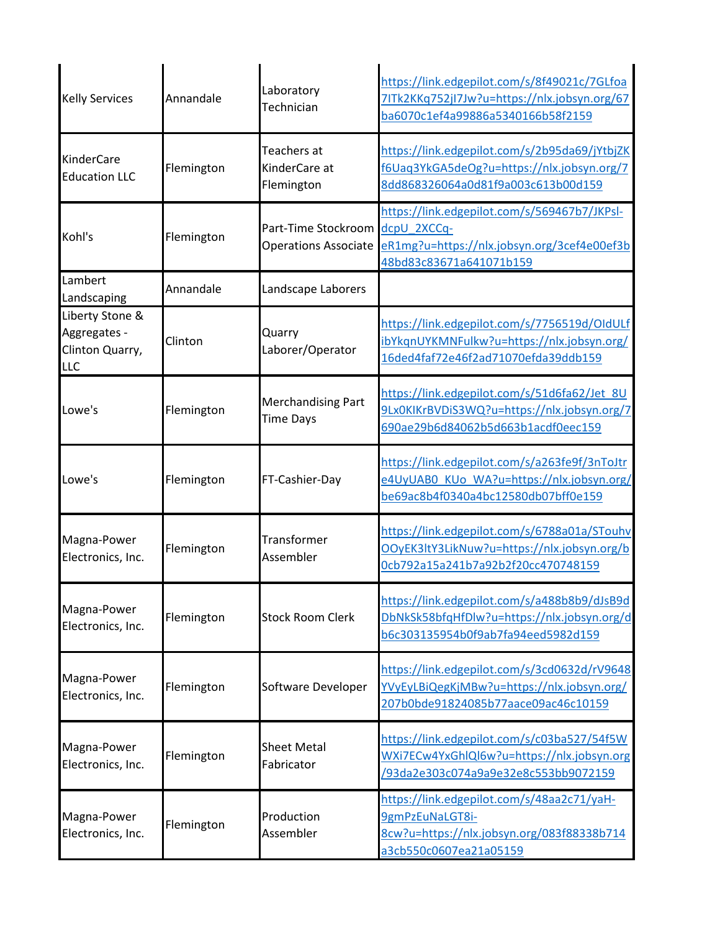| <b>Kelly Services</b>                                     | Annandale  | Laboratory<br>Technician                           | https://link.edgepilot.com/s/8f49021c/7GLfoa<br>7ITk2KKq752jI7Jw?u=https://nlx.jobsyn.org/67<br>ba6070c1ef4a99886a5340166b58f2159     |
|-----------------------------------------------------------|------------|----------------------------------------------------|---------------------------------------------------------------------------------------------------------------------------------------|
| KinderCare<br><b>Education LLC</b>                        | Flemington | Teachers at<br>KinderCare at<br>Flemington         | https://link.edgepilot.com/s/2b95da69/jYtbjZK<br>f6Uaq3YkGA5deOg?u=https://nlx.jobsyn.org/7<br>8dd868326064a0d81f9a003c613b00d159     |
| Kohl's                                                    | Flemington | Part-Time Stockroom<br><b>Operations Associate</b> | https://link.edgepilot.com/s/569467b7/JKPsl-<br>dcpU 2XCCq-<br>eR1mg?u=https://nlx.jobsyn.org/3cef4e00ef3b<br>48bd83c83671a641071b159 |
| Lambert<br>Landscaping                                    | Annandale  | Landscape Laborers                                 |                                                                                                                                       |
| Liberty Stone &<br>Aggregates -<br>Clinton Quarry,<br>LLC | Clinton    | Quarry<br>Laborer/Operator                         | https://link.edgepilot.com/s/7756519d/OldULf<br>ibYkgnUYKMNFulkw?u=https://nlx.jobsyn.org/<br>16ded4faf72e46f2ad71070efda39ddb159     |
| Lowe's                                                    | Flemington | <b>Merchandising Part</b><br><b>Time Days</b>      | https://link.edgepilot.com/s/51d6fa62/Jet 8U<br>9Lx0KIKrBVDiS3WQ?u=https://nlx.jobsyn.org/7<br>690ae29b6d84062b5d663b1acdf0eec159     |
| Lowe's                                                    | Flemington | FT-Cashier-Day                                     | https://link.edgepilot.com/s/a263fe9f/3nToJtr<br>e4UyUAB0_KUo_WA?u=https://nlx.jobsyn.org/<br>be69ac8b4f0340a4bc12580db07bff0e159     |
| Magna-Power<br>Electronics, Inc.                          | Flemington | Transformer<br>Assembler                           | https://link.edgepilot.com/s/6788a01a/STouhv<br>OOyEK3ltY3LikNuw?u=https://nlx.jobsyn.org/b<br>0cb792a15a241b7a92b2f20cc470748159     |
| Magna-Power<br>Electronics, Inc.                          | Flemington | <b>Stock Room Clerk</b>                            | https://link.edgepilot.com/s/a488b8b9/dJsB9d<br>DbNkSk58bfqHfDlw?u=https://nlx.jobsyn.org/d<br>b6c303135954b0f9ab7fa94eed5982d159     |
| Magna-Power<br>Electronics, Inc.                          | Flemington | Software Developer                                 | https://link.edgepilot.com/s/3cd0632d/rV9648<br>YVyEyLBiQegKjMBw?u=https://nlx.jobsyn.org/<br>207b0bde91824085b77aace09ac46c10159     |
| Magna-Power<br>Electronics, Inc.                          | Flemington | <b>Sheet Metal</b><br>Fabricator                   | https://link.edgepilot.com/s/c03ba527/54f5W<br>WXi7ECw4YxGhlQl6w?u=https://nlx.jobsyn.org<br>/93da2e303c074a9a9e32e8c553bb9072159     |
| Magna-Power<br>Electronics, Inc.                          | Flemington | Production<br>Assembler                            | https://link.edgepilot.com/s/48aa2c71/yaH-<br>9gmPzEuNaLGT8i-<br>8cw?u=https://nlx.jobsyn.org/083f88338b714<br>a3cb550c0607ea21a05159 |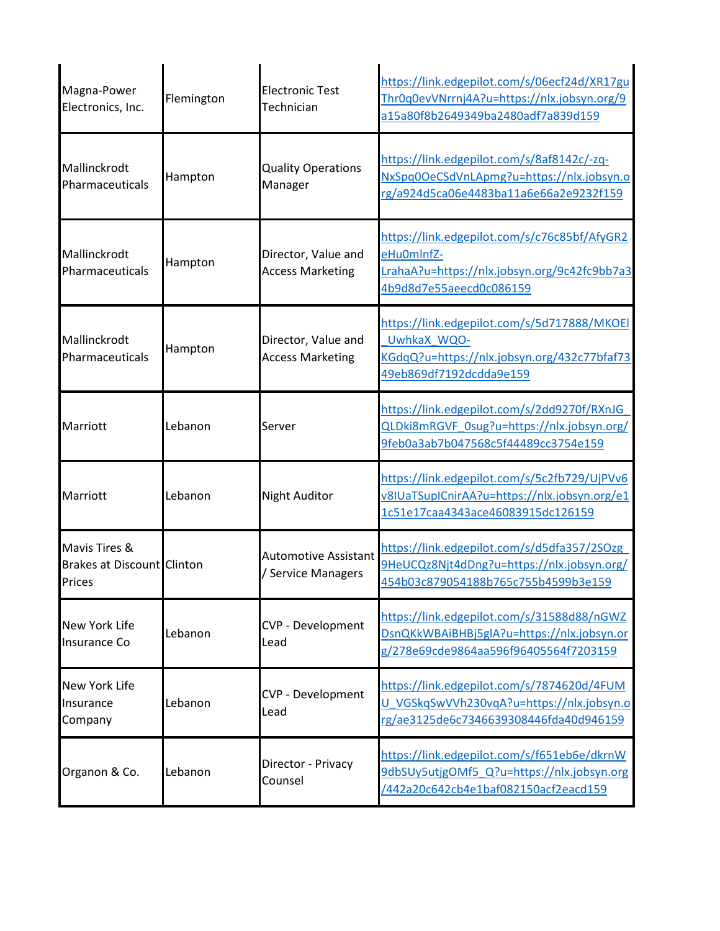| Magna-Power<br>Electronics, Inc.                             | Flemington | <b>Electronic Test</b><br>Technician            | https://link.edgepilot.com/s/06ecf24d/XR17gu<br>Thr0q0evVNrrnj4A?u=https://nlx.jobsyn.org/9<br>a15a80f8b2649349ba2480adf7a839d159     |
|--------------------------------------------------------------|------------|-------------------------------------------------|---------------------------------------------------------------------------------------------------------------------------------------|
| Mallinckrodt<br>Pharmaceuticals                              | Hampton    | <b>Quality Operations</b><br>Manager            | https://link.edgepilot.com/s/8af8142c/-zq-<br>NxSpq0OeCSdVnLApmg?u=https://nlx.jobsyn.o<br>rg/a924d5ca06e4483ba11a6e66a2e9232f159     |
| Mallinckrodt<br>Pharmaceuticals                              | Hampton    | Director, Value and<br><b>Access Marketing</b>  | https://link.edgepilot.com/s/c76c85bf/AfyGR2<br>eHu0mlnfZ-<br>LrahaA?u=https://nlx.jobsyn.org/9c42fc9bb7a3<br>4b9d8d7e55aeecd0c086159 |
| Mallinckrodt<br>Pharmaceuticals                              | Hampton    | Director, Value and<br><b>Access Marketing</b>  | https://link.edgepilot.com/s/5d717888/MKOEl<br>UwhkaX WQO-<br>KGdqQ?u=https://nlx.jobsyn.org/432c77bfaf73<br>49eb869df7192dcdda9e159  |
| Marriott                                                     | Lebanon    | Server                                          | https://link.edgepilot.com/s/2dd9270f/RXnJG<br>QLDki8mRGVF_0sug?u=https://nlx.jobsyn.org/<br>9feb0a3ab7b047568c5f44489cc3754e159      |
| Marriott                                                     | Lebanon    | <b>Night Auditor</b>                            | https://link.edgepilot.com/s/5c2fb729/UjPVv6<br>v8IUaTSupICnirAA?u=https://nlx.jobsyn.org/e1<br>1c51e17caa4343ace46083915dc126159     |
| Mavis Tires &<br>Brakes at Discount Clinton<br><b>Prices</b> |            | <b>Automotive Assistant</b><br>Service Managers | https://link.edgepilot.com/s/d5dfa357/2SOzg<br>9HeUCQz8Njt4dDng?u=https://nlx.jobsyn.org/<br>454b03c879054188b765c755b4599b3e159      |
| <b>New York Life</b><br>Insurance Co                         | Lebanon    | CVP - Development<br>Lead                       | https://link.edgepilot.com/s/31588d88/nGWZ<br>DsnQKkWBAiBHBj5glA?u=https://nlx.jobsyn.or<br>g/278e69cde9864aa596f96405564f7203159     |
| New York Life<br>llnsurance<br>Company                       | Lebanon    | CVP - Development<br>Lead                       | https://link.edgepilot.com/s/7874620d/4FUM<br>U VGSkgSwVVh230vqA?u=https://nlx.jobsyn.o<br>rg/ae3125de6c7346639308446fda40d946159     |
| Organon & Co.                                                | Lebanon    | Director - Privacy<br>Counsel                   | https://link.edgepilot.com/s/f651eb6e/dkrnW<br>9dbSUy5utjgOMf5 Q?u=https://nlx.jobsyn.org<br>/442a20c642cb4e1baf082150acf2eacd159     |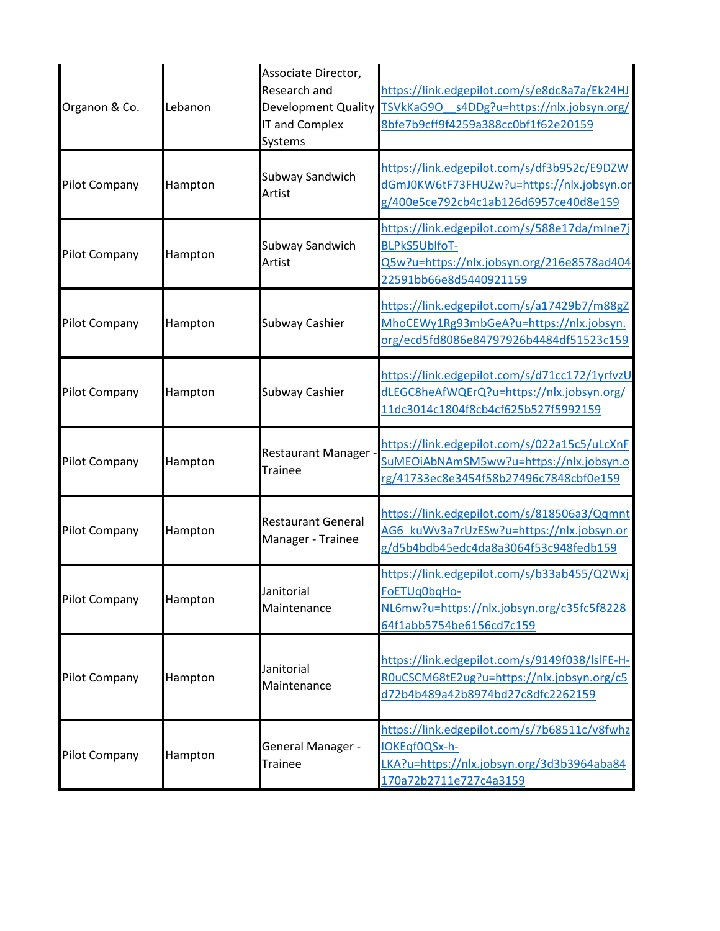| Organon & Co.        | Lebanon | Associate Director,<br>Research and<br>Development Quality<br>IT and Complex<br>Systems | https://link.edgepilot.com/s/e8dc8a7a/Ek24HJ<br>TSVkKaG9O s4DDg?u=https://nlx.jobsyn.org/<br>8bfe7b9cff9f4259a388cc0bf1f62e20159      |
|----------------------|---------|-----------------------------------------------------------------------------------------|---------------------------------------------------------------------------------------------------------------------------------------|
| <b>Pilot Company</b> | Hampton | Subway Sandwich<br>Artist                                                               | https://link.edgepilot.com/s/df3b952c/E9DZW<br>dGmJ0KW6tF73FHUZw?u=https://nlx.jobsyn.or<br>g/400e5ce792cb4c1ab126d6957ce40d8e159     |
| <b>Pilot Company</b> | Hampton | Subway Sandwich<br>Artist                                                               | https://link.edgepilot.com/s/588e17da/mlne7j<br>BLPkS5UblfoT-<br>Q5w?u=https://nlx.jobsyn.org/216e8578ad404<br>22591bb66e8d5440921159 |
| <b>Pilot Company</b> | Hampton | <b>Subway Cashier</b>                                                                   | https://link.edgepilot.com/s/a17429b7/m88gZ<br>MhoCEWy1Rg93mbGeA?u=https://nlx.jobsyn.<br>org/ecd5fd8086e84797926b4484df51523c159     |
| <b>Pilot Company</b> | Hampton | <b>Subway Cashier</b>                                                                   | https://link.edgepilot.com/s/d71cc172/1yrfvzU<br>dLEGC8heAfWQErQ?u=https://nlx.jobsyn.org/<br>11dc3014c1804f8cb4cf625b527f5992159     |
| <b>Pilot Company</b> | Hampton | Restaurant Manager -<br><b>Trainee</b>                                                  | https://link.edgepilot.com/s/022a15c5/uLcXnF<br>SuMEOiAbNAmSM5ww?u=https://nlx.jobsyn.o<br>rg/41733ec8e3454f58b27496c7848cbf0e159     |
| <b>Pilot Company</b> | Hampton | <b>Restaurant General</b><br>Manager - Trainee                                          | https://link.edgepilot.com/s/818506a3/Qqmnt<br>AG6 kuWv3a7rUzESw?u=https://nlx.jobsyn.or<br>g/d5b4bdb45edc4da8a3064f53c948fedb159     |
| <b>Pilot Company</b> | Hampton | Janitorial<br>Maintenance                                                               | https://link.edgepilot.com/s/b33ab455/Q2Wxj<br>FoETUq0bqHo-<br>NL6mw?u=https://nlx.jobsyn.org/c35fc5f8228<br>64f1abb5754be6156cd7c159 |
| <b>Pilot Company</b> | Hampton | Janitorial<br>Maintenance                                                               | https://link.edgepilot.com/s/9149f038/lslFE-H-<br>ROuCSCM68tE2ug?u=https://nlx.jobsyn.org/c5<br>d72b4b489a42b8974bd27c8dfc2262159     |
| <b>Pilot Company</b> | Hampton | General Manager -<br>Trainee                                                            | https://link.edgepilot.com/s/7b68511c/v8fwhz<br>OKEqf0QSx-h-<br>KA?u=https://nlx.jobsyn.org/3d3b3964aba84<br>170a72b2711e727c4a3159   |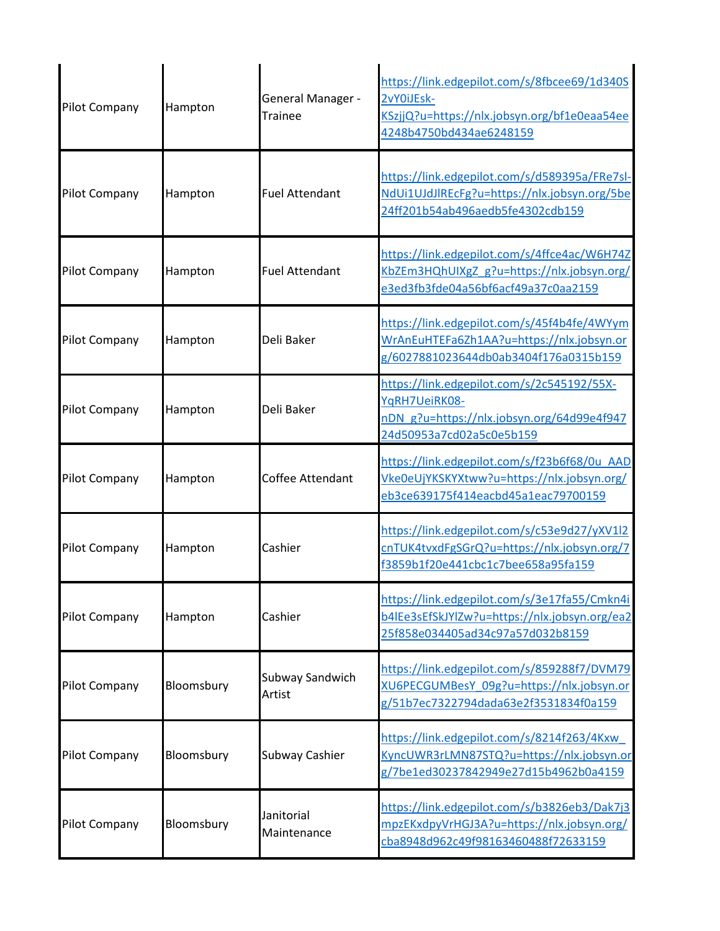|                      |            | General Manager -         | https://link.edgepilot.com/s/8fbcee69/1d340S<br>2vY0iJEsk-                                                                            |
|----------------------|------------|---------------------------|---------------------------------------------------------------------------------------------------------------------------------------|
| <b>Pilot Company</b> | Hampton    | <b>Trainee</b>            | KSzjjQ?u=https://nlx.jobsyn.org/bf1e0eaa54ee<br>4248b4750bd434ae6248159                                                               |
| <b>Pilot Company</b> | Hampton    | <b>Fuel Attendant</b>     | https://link.edgepilot.com/s/d589395a/FRe7sl-<br>NdUi1UJdJlREcFg?u=https://nlx.jobsyn.org/5be<br>24ff201b54ab496aedb5fe4302cdb159     |
| <b>Pilot Company</b> | Hampton    | <b>Fuel Attendant</b>     | https://link.edgepilot.com/s/4ffce4ac/W6H74Z<br>KbZEm3HQhUIXgZ g?u=https://nlx.jobsyn.org/<br>e3ed3fb3fde04a56bf6acf49a37c0aa2159     |
| Pilot Company        | Hampton    | Deli Baker                | https://link.edgepilot.com/s/45f4b4fe/4WYym<br>WrAnEuHTEFa6Zh1AA?u=https://nlx.jobsyn.or<br>g/6027881023644db0ab3404f176a0315b159     |
| Pilot Company        | Hampton    | Deli Baker                | https://link.edgepilot.com/s/2c545192/55X-<br>YqRH7UeiRK08-<br>nDN g?u=https://nlx.jobsyn.org/64d99e4f947<br>24d50953a7cd02a5c0e5b159 |
| Pilot Company        | Hampton    | Coffee Attendant          | https://link.edgepilot.com/s/f23b6f68/0u AAD<br>Vke0eUjYKSKYXtww?u=https://nlx.jobsyn.org/<br>eb3ce639175f414eacbd45a1eac79700159     |
| <b>Pilot Company</b> | Hampton    | Cashier                   | https://link.edgepilot.com/s/c53e9d27/yXV1l2<br>cnTUK4tvxdFgSGrQ?u=https://nlx.jobsyn.org/7<br>f3859b1f20e441cbc1c7bee658a95fa159     |
| <b>Pilot Company</b> | Hampton    | Cashier                   | https://link.edgepilot.com/s/3e17fa55/Cmkn4i<br>b4lEe3sEfSkJYlZw?u=https://nlx.jobsyn.org/ea2<br>25f858e034405ad34c97a57d032b8159     |
| <b>Pilot Company</b> | Bloomsbury | Subway Sandwich<br>Artist | https://link.edgepilot.com/s/859288f7/DVM79<br>XU6PECGUMBesY 09g?u=https://nlx.jobsyn.or<br>g/51b7ec7322794dada63e2f3531834f0a159     |
| <b>Pilot Company</b> | Bloomsbury | Subway Cashier            | https://link.edgepilot.com/s/8214f263/4Kxw<br>KyncUWR3rLMN87STQ?u=https://nlx.jobsyn.or<br>g/7be1ed30237842949e27d15b4962b0a4159      |
| <b>Pilot Company</b> | Bloomsbury | Janitorial<br>Maintenance | https://link.edgepilot.com/s/b3826eb3/Dak7j3<br>mpzEKxdpyVrHGJ3A?u=https://nlx.jobsyn.org/<br>cba8948d962c49f98163460488f72633159     |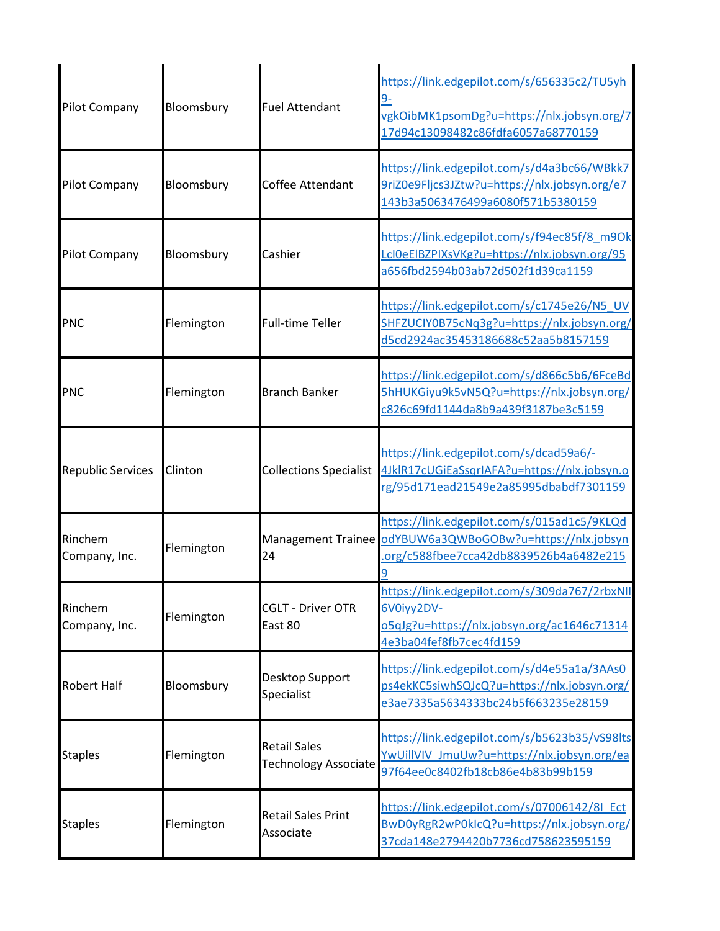| <b>Pilot Company</b>     | Bloomsbury | <b>Fuel Attendant</b>                              | https://link.edgepilot.com/s/656335c2/TU5yh<br>9-<br>vgkOibMK1psomDg?u=https://nlx.jobsyn.org/7<br>17d94c13098482c86fdfa6057a68770159 |
|--------------------------|------------|----------------------------------------------------|---------------------------------------------------------------------------------------------------------------------------------------|
| <b>Pilot Company</b>     | Bloomsbury | Coffee Attendant                                   | https://link.edgepilot.com/s/d4a3bc66/WBkk7<br>9riZ0e9Fljcs3JZtw?u=https://nlx.jobsyn.org/e7<br>143b3a5063476499a6080f571b5380159     |
| Pilot Company            | Bloomsbury | Cashier                                            | https://link.edgepilot.com/s/f94ec85f/8_m9Ok<br>LcIOeEIBZPIXsVKg?u=https://nlx.jobsyn.org/95<br>a656fbd2594b03ab72d502f1d39ca1159     |
| <b>PNC</b>               | Flemington | <b>Full-time Teller</b>                            | https://link.edgepilot.com/s/c1745e26/N5 UV<br>SHFZUCIY0B75cNq3g?u=https://nlx.jobsyn.org/<br>d5cd2924ac35453186688c52aa5b8157159     |
| <b>PNC</b>               | Flemington | <b>Branch Banker</b>                               | https://link.edgepilot.com/s/d866c5b6/6FceBd<br>5hHUKGiyu9k5vN5Q?u=https://nlx.jobsyn.org/<br>c826c69fd1144da8b9a439f3187be3c5159     |
| <b>Republic Services</b> | Clinton    | <b>Collections Specialist</b>                      | https://link.edgepilot.com/s/dcad59a6/-<br>4JklR17cUGiEaSsgrIAFA?u=https://nlx.jobsyn.o<br>rg/95d171ead21549e2a85995dbabdf7301159     |
| Rinchem<br>Company, Inc. | Flemington | Management Trainee<br>24                           | https://link.edgepilot.com/s/015ad1c5/9KLQd<br>odYBUW6a3QWBoGOBw?u=https://nlx.jobsyn<br>.org/c588fbee7cca42db8839526b4a6482e215      |
| Rinchem<br>Company, Inc. | Flemington | <b>CGLT - Driver OTR</b><br>East 80                | https://link.edgepilot.com/s/309da767/2rbxNII<br>6V0iyy2DV-<br>o5qJg?u=https://nlx.jobsyn.org/ac1646c71314<br>4e3ba04fef8fb7cec4fd159 |
| <b>Robert Half</b>       | Bloomsbury | Desktop Support<br>Specialist                      | https://link.edgepilot.com/s/d4e55a1a/3AAs0<br>ps4ekKC5siwhSQJcQ?u=https://nlx.jobsyn.org/<br>e3ae7335a5634333bc24b5f663235e28159     |
| <b>Staples</b>           | Flemington | <b>Retail Sales</b><br><b>Technology Associate</b> | https://link.edgepilot.com/s/b5623b35/vS98lts<br>YwUillVIV JmuUw?u=https://nlx.jobsyn.org/ea<br>97f64ee0c8402fb18cb86e4b83b99b159     |
| <b>Staples</b>           | Flemington | <b>Retail Sales Print</b><br>Associate             | https://link.edgepilot.com/s/07006142/8I Ect<br>BwD0yRgR2wP0kIcQ?u=https://nlx.jobsyn.org/<br>37cda148e2794420b7736cd758623595159     |